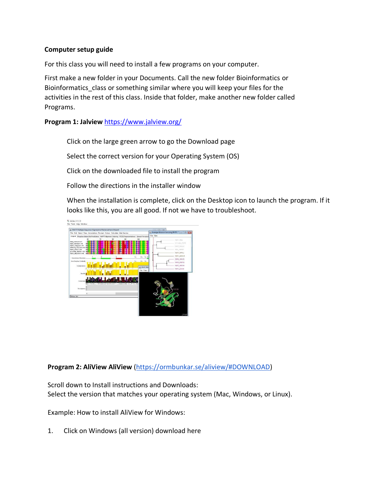#### **Computer setup guide**

For this class you will need to install a few programs on your computer.

First make a new folder in your Documents. Call the new folder Bioinformatics or Bioinformatics\_class or something similar where you will keep your files for the activities in the rest of this class. Inside that folder, make another new folder called Programs.

**Program 1: Jalview** <https://www.jalview.org/>

Click on the large green arrow to go the Download page

Select the correct version for your Operating System (OS)

Click on the downloaded file to install the program

Follow the directions in the installer window

When the installation is complete, click on the Desktop icon to launch the program. If it looks like this, you are all good. If not we have to troubleshoot.



**Program 2: AliView AliView** [\(https://ormbunkar.se/aliview/#DOWNLOAD\)](https://ormbunkar.se/aliview/#DOWNLOAD)

Scroll down to Install instructions and Downloads: Select the version that matches your operating system (Mac, Windows, or Linux).

Example: How to install AliView for Windows:

1. Click on Windows (all version) download here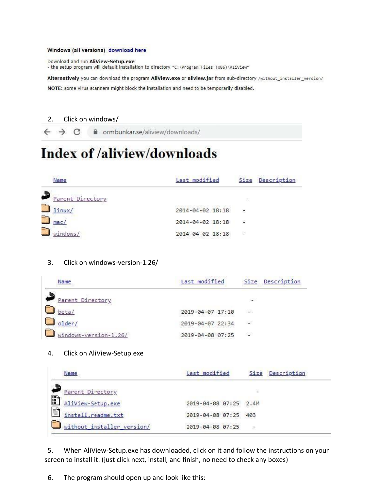#### Windows (all versions) download here

Download and run AliView-Setup.exe - the setup program will default installation to directory "C: \Program Files (x86)\AliView"

Alternatively you can download the program AliView.exe or aliview.jar from sub-directory /without\_installer\_version/

NOTE: some virus scanners might block the installation and need to be temporarily disabled.

#### 2. Click on windows/

 $\leftarrow$   $\rightarrow$  C crmbunkar.se/aliview/downloads/

# **Index of /aliview/downloads**

| Name                  | Last modified    |                          | Size Description |
|-----------------------|------------------|--------------------------|------------------|
| Parent Directory      |                  | ٠.                       |                  |
| P<br>linux/           | 2014-04-02 18:18 | ÷                        |                  |
| Y<br>mac <sub>l</sub> | 2014-04-02 18:18 | $\overline{\phantom{a}}$ |                  |
| U,<br>windows/        | 2014-04-02 18:18 | Φ                        |                  |

#### 3. Click on windows-version-1.26/

| Name                  | Last modified    |               | Size Description |
|-----------------------|------------------|---------------|------------------|
| Parent Directory      |                  | $\rightarrow$ |                  |
| beta/                 | 2019-04-07 17:10 | - 3           |                  |
| older/                | 2019-04-07 22:34 | 628           |                  |
| windows-version-1.26/ | 2019-04-08 07:25 | 53            |                  |

#### 4. Click on AliView-Setup.exe

|               | Name                       | Last modified         |    | Size Description |
|---------------|----------------------------|-----------------------|----|------------------|
|               | Parent Directory           |                       | ×  |                  |
| $^{101}_{90}$ | AliView-Setup.exe          | 2019-04-08 07:25 2.4M |    |                  |
| F             | install.readme.txt         | 2019-04-08 07:25 403  |    |                  |
|               | without_installer_version/ | 2019-04-08 07:25      | 27 |                  |

5. When AliView-Setup.exe has downloaded, click on it and follow the instructions on your screen to install it. (just click next, install, and finish, no need to check any boxes)

6. The program should open up and look like this: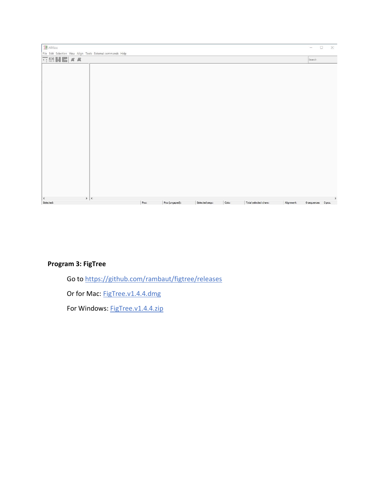| $\Box$ AliView                                                                                   |      |                |                |       |                       |            | $\Box$<br>-        | $\times$ |
|--------------------------------------------------------------------------------------------------|------|----------------|----------------|-------|-----------------------|------------|--------------------|----------|
| File Edit Selection View Align Tools External commands Help                                      |      |                |                |       |                       |            |                    |          |
| $\overline{\Box} \boxtimes \text{H} \blacksquare \textcolor{red}{ z } \times \textcolor{red}{R}$ |      |                |                |       |                       |            | Search             |          |
|                                                                                                  |      |                |                |       |                       |            |                    |          |
|                                                                                                  |      |                |                |       |                       |            |                    |          |
|                                                                                                  |      |                |                |       |                       |            |                    |          |
|                                                                                                  |      |                |                |       |                       |            |                    |          |
|                                                                                                  |      |                |                |       |                       |            |                    |          |
|                                                                                                  |      |                |                |       |                       |            |                    |          |
|                                                                                                  |      |                |                |       |                       |            |                    |          |
|                                                                                                  |      |                |                |       |                       |            |                    |          |
|                                                                                                  |      |                |                |       |                       |            |                    |          |
|                                                                                                  |      |                |                |       |                       |            |                    |          |
|                                                                                                  |      |                |                |       |                       |            |                    |          |
|                                                                                                  |      |                |                |       |                       |            |                    |          |
|                                                                                                  |      |                |                |       |                       |            |                    |          |
|                                                                                                  |      |                |                |       |                       |            |                    |          |
|                                                                                                  |      |                |                |       |                       |            |                    |          |
|                                                                                                  |      |                |                |       |                       |            |                    |          |
|                                                                                                  |      |                |                |       |                       |            |                    |          |
|                                                                                                  |      |                |                |       |                       |            |                    |          |
| > 1<br>$\hat{\textbf{C}}$                                                                        |      |                |                |       |                       |            |                    | $\,$     |
| Selected:                                                                                        | Pos: | Pos (ungaped): | Selected segs: | Cols: | Total selected chars: | Alignment: | 0 sequences 0 pos. |          |

## **Program 3: FigTree**

Go to<https://github.com/rambaut/figtree/releases>

Or for Mac: [FigTree.v1.4.4.dmg](https://github.com/rambaut/figtree/releases/download/v1.4.4/FigTree.v1.4.4.dmg)

For Windows: [FigTree.v1.4.4.zip](https://github.com/rambaut/figtree/releases/download/v1.4.4/FigTree.v1.4.4.zip)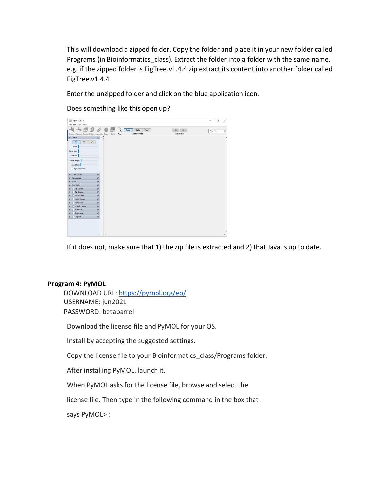This will download a zipped folder. Copy the folder and place it in your new folder called Programs (in Bioinformatics\_class). Extract the folder into a folder with the same name, e.g. if the zipped folder is FigTree.v1.4.4.zip extract its content into another folder called FigTree.v1.4.4

Enter the unzipped folder and click on the blue application icon.

FigTree v1.4.4  $\Box$  $\ddot{x}$ 4 + CE & O C Q Note Odde Taxa  $\begin{tabular}{|c|c|c|c|} \hline $\Rightarrow$ & $\Rightarrow$ \\ \hline \multicolumn{3}{|c|}{\bf Prov/Next} \end{tabular}$  $\mathsf{Q}_\tau$ ■ ケ イ Zoon Fish Eye: Root Length: <mark>.</mark> Curvature:  $\Box$  Algn Tip

Does something like this open up?

If it does not, make sure that 1) the zip file is extracted and 2) that Java is up to date.

#### **Program 4: PyMOL**

DOWNLOAD URL:<https://pymol.org/ep/> USERNAME: jun2021 PASSWORD: betabarrel

Download the license file and PyMOL for your OS.

Install by accepting the suggested settings.

Copy the license file to your Bioinformatics class/Programs folder.

After installing PyMOL, launch it.

When PyMOL asks for the license file, browse and select the

license file. Then type in the following command in the box that

says PyMOL> :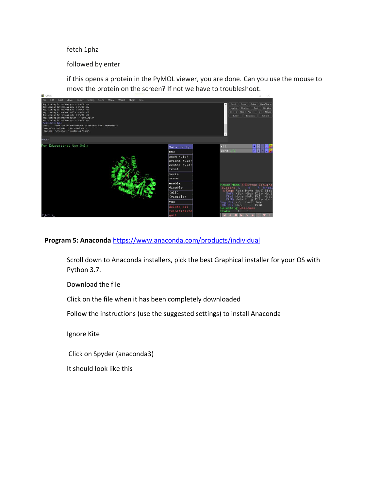#### fetch 1phz

#### followed by enter

if this opens a protein in the PyMOL viewer, you are done. Can you use the mouse to move the protein on the screen? If not we have to troubleshoot.



### **Program 5: Anaconda** <https://www.anaconda.com/products/individual>

Scroll down to Anaconda installers, pick the best Graphical installer for your OS with Python 3.7.

Download the file

Click on the file when it has been completely downloaded

Follow the instructions (use the suggested settings) to install Anaconda

Ignore Kite

Click on Spyder (anaconda3)

It should look like this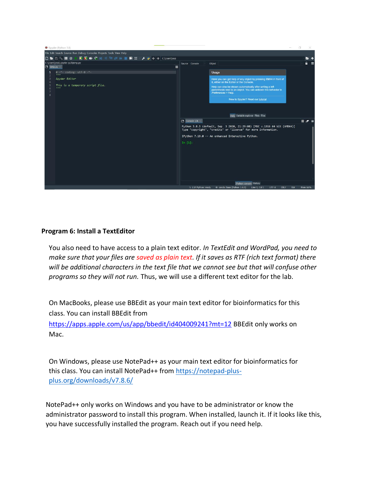

#### **Program 6: Install a TextEditor**

You also need to have access to a plain text editor. *In TextEdit and WordPad, you need to make sure that your files are saved as plain text. If it saves as RTF (rich text format) there will be additional characters in the text file that we cannot see but that will confuse other programs so they will not run.* Thus, we will use a different text editor for the lab.

On MacBooks, please use BBEdit as your main text editor for bioinformatics for this class. You can install BBEdit fro[m](https://apps.apple.com/us/app/bbedit/id404009241?mt=12) <https://apps.apple.com/us/app/bbedit/id404009241?mt=12> BBEdit only works on Mac.

On Windows, please use NotePad++ as your main text editor for bioinformatics for this class. You can install NotePad++ from [https://notepad-plus](https://notepad-plus-plus.org/downloads/v7.8.6/)[plus.org/downloads/v7.8.6/](https://notepad-plus-plus.org/downloads/v7.8.6/)

NotePad++ only works on Windows and you have to be administrator or know the administrator password to install this program. When installed, launch it. If it looks like this, you have successfully installed the program. Reach out if you need help.